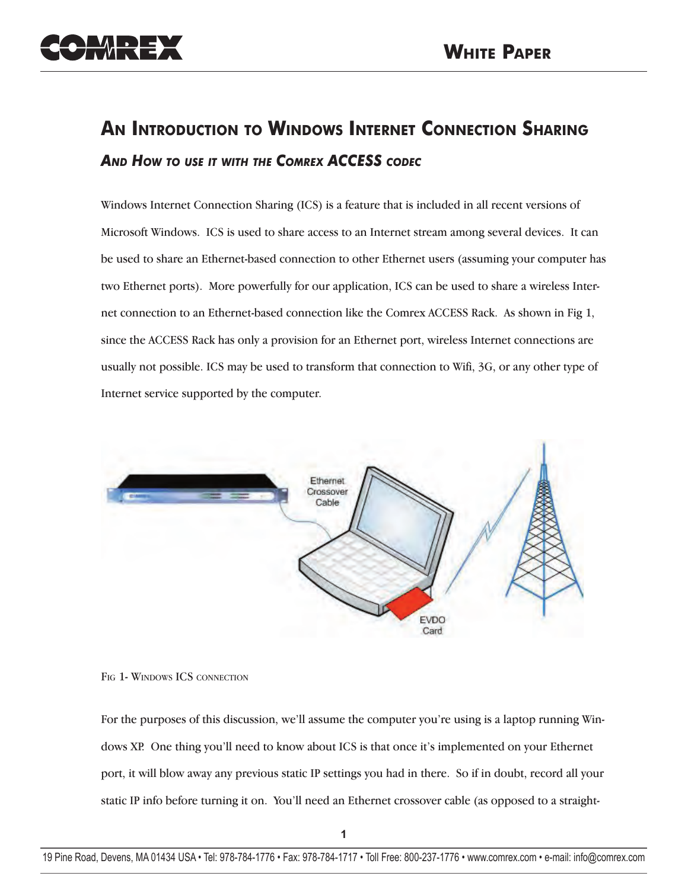

# **AN INTRODUCTION TO WINDOWS INTERNET CONNECTION SHARING** *AND HOW TO USE IT WITH THE COMREX ACCESS CODEC*

Windows Internet Connection Sharing (ICS) is a feature that is included in all recent versions of Microsoft Windows. ICS is used to share access to an Internet stream among several devices. It can be used to share an Ethernet-based connection to other Ethernet users (assuming your computer has two Ethernet ports). More powerfully for our application, ICS can be used to share a wireless Internet connection to an Ethernet-based connection like the Comrex ACCESS Rack. As shown in Fig 1, since the ACCESS Rack has only a provision for an Ethernet port, wireless Internet connections are usually not possible. ICS may be used to transform that connection to Wifi, 3G, or any other type of Internet service supported by the computer.



FIG 1- WINDOWS ICS CONNECTION

For the purposes of this discussion, we'll assume the computer you're using is a laptop running Windows XP. One thing you'll need to know about ICS is that once it's implemented on your Ethernet port, it will blow away any previous static IP settings you had in there. So if in doubt, record all your static IP info before turning it on. You'll need an Ethernet crossover cable (as opposed to a straight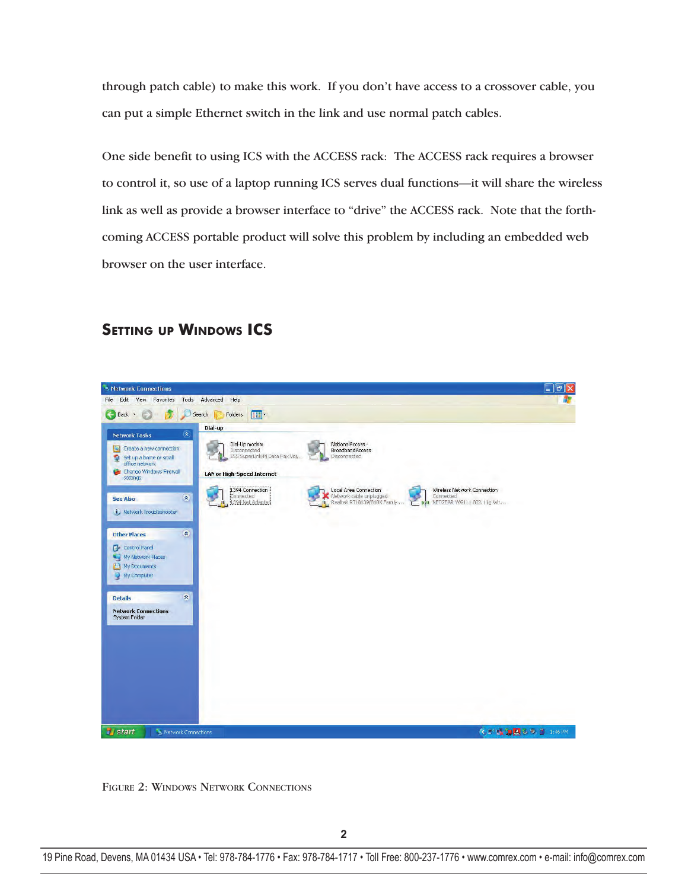through patch cable) to make this work. If you don't have access to a crossover cable, you can put a simple Ethernet switch in the link and use normal patch cables.

One side benefit to using ICS with the ACCESS rack: The ACCESS rack requires a browser to control it, so use of a laptop running ICS serves dual functions—it will share the wireless link as well as provide a browser interface to "drive" the ACCESS rack. Note that the forthcoming ACCESS portable product will solve this problem by including an embedded web browser on the user interface.

## **SETTING UP WINDOWS ICS**



FIGURE 2: WINDOWS NETWORK CONNECTIONS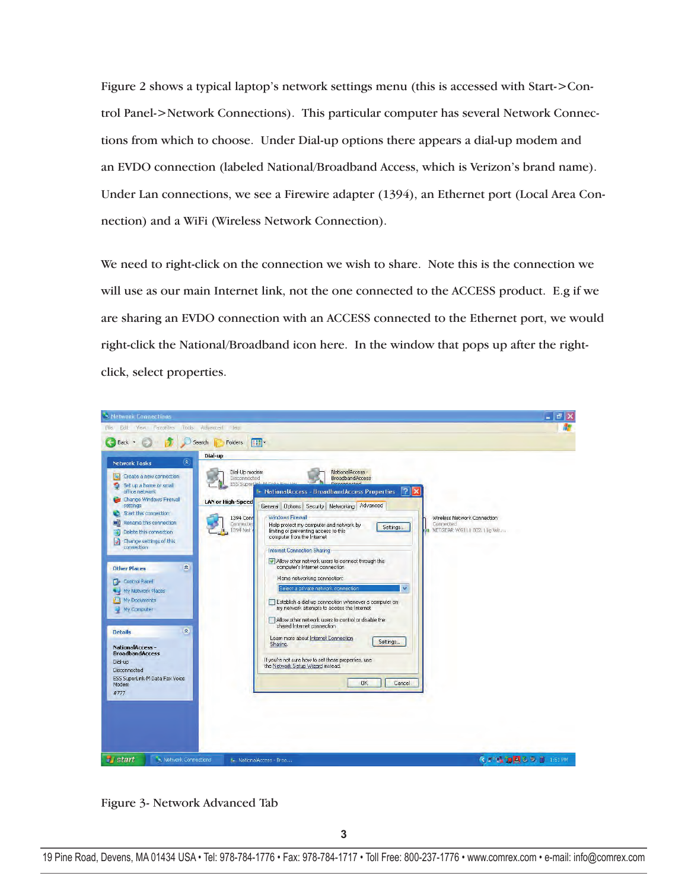Figure 2 shows a typical laptop's network settings menu (this is accessed with Start->Control Panel->Network Connections). This particular computer has several Network Connections from which to choose. Under Dial-up options there appears a dial-up modem and an EVDO connection (labeled National/Broadband Access, which is Verizon's brand name). Under Lan connections, we see a Firewire adapter (1394), an Ethernet port (Local Area Connection) and a WiFi (Wireless Network Connection).

We need to right-click on the connection we wish to share. Note this is the connection we will use as our main Internet link, not the one connected to the ACCESS product. E.g if we are sharing an EVDO connection with an ACCESS connected to the Ethernet port, we would right-click the National/Broadband icon here. In the window that pops up after the rightclick, select properties.



Figure 3- Network Advanced Tab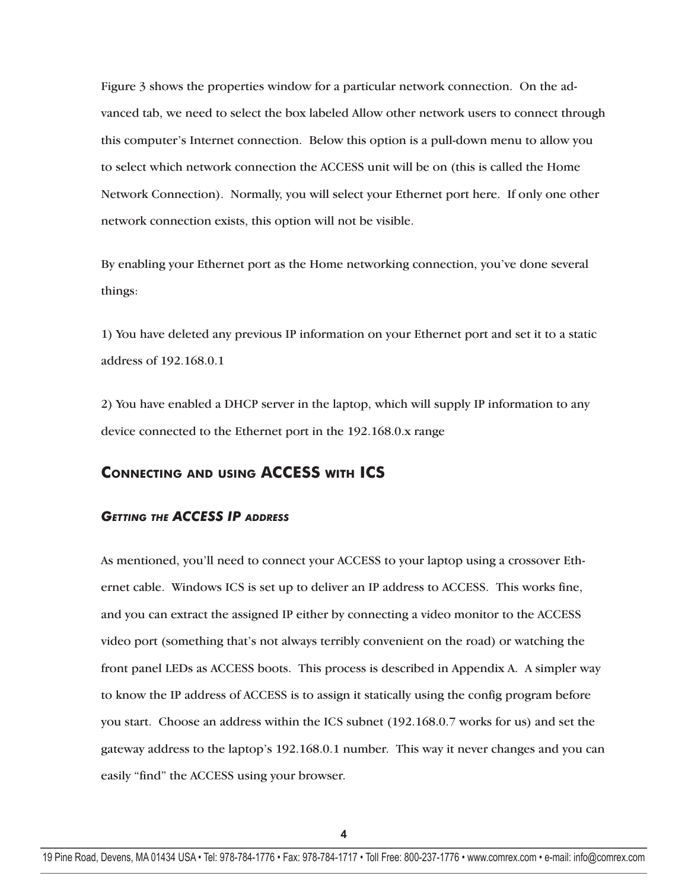Figure 3 shows the properties window for a particular network connection. On the advanced tab, we need to select the box labeled Allow other network users to connect through this computer's Internet connection. Below this option is a pull-down menu to allow you to select which network connection the ACCESS unit will be on (this is called the Home Network Connection). Normally, you will select your Ethernet port here. If only one other network connection exists, this option will not be visible.

By enabling your Ethernet port as the Home networking connection, you've done several things:

1) You have deleted any previous IP information on your Ethernet port and set it to a static address of 192.168.0.1

2) You have enabled a DHCP server in the laptop, which will supply IP information to any device connected to the Ethernet port in the 192.168.0.x range

## **CONNECTING AND USING ACCESS WITH ICS**

#### *GETTING THE ACCESS IP ADDRESS*

As mentioned, you'll need to connect your ACCESS to your laptop using a crossover Ethernet cable. Windows ICS is set up to deliver an IP address to ACCESS. This works fine, and you can extract the assigned IP either by connecting a video monitor to the ACCESS video port (something that's not always terribly convenient on the road) or watching the front panel LEDs as ACCESS boots. This process is described in Appendix A. A simpler way to know the IP address of ACCESS is to assign it statically using the config program before you start. Choose an address within the ICS subnet (192.168.0.7 works for us) and set the gateway address to the laptop's 192.168.0.1 number. This way it never changes and you can easily "find" the ACCESS using your browser.